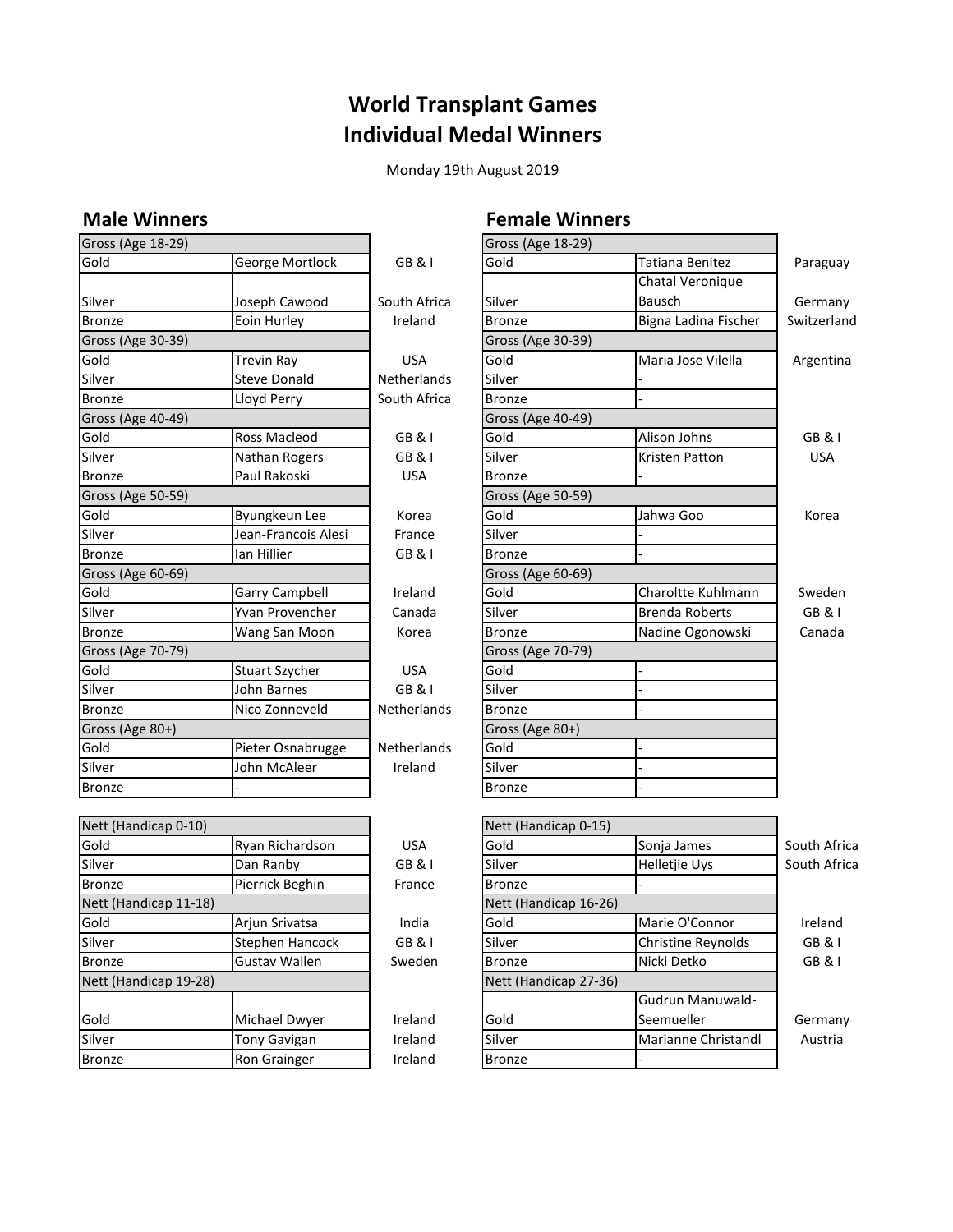### **World Transplant Games Individual Medal Winners**

Monday 19th August 2019

| Gross (Age 18-29) |                       |                    | Gross (Age 18-29) |                       |            |
|-------------------|-----------------------|--------------------|-------------------|-----------------------|------------|
| Gold              | George Mortlock       | <b>GB&amp;I</b>    | Gold              | Tatiana Benitez       | Paragua    |
|                   |                       |                    |                   | Chatal Veronique      |            |
| Silver            | Joseph Cawood         | South Africa       | Silver            | Bausch                | German     |
| <b>Bronze</b>     | Eoin Hurley           | Ireland            | <b>Bronze</b>     | Bigna Ladina Fischer  | Switzerlar |
| Gross (Age 30-39) |                       |                    | Gross (Age 30-39) |                       |            |
| Gold              | Trevin Ray            | <b>USA</b>         | Gold              | Maria Jose Vilella    | Argentin   |
| Silver            | <b>Steve Donald</b>   | <b>Netherlands</b> | Silver            |                       |            |
| <b>Bronze</b>     | Lloyd Perry           | South Africa       | <b>Bronze</b>     |                       |            |
| Gross (Age 40-49) |                       |                    | Gross (Age 40-49) |                       |            |
| Gold              | <b>Ross Macleod</b>   | GB & I             | Gold              | Alison Johns          | GB & I     |
| Silver            | Nathan Rogers         | GB & I             | Silver            | Kristen Patton        | <b>USA</b> |
| <b>Bronze</b>     | Paul Rakoski          | <b>USA</b>         | <b>Bronze</b>     |                       |            |
| Gross (Age 50-59) |                       |                    | Gross (Age 50-59) |                       |            |
| Gold              | Byungkeun Lee         | Korea              | Gold              | Jahwa Goo             | Korea      |
| Silver            | Jean-Francois Alesi   | France             | Silver            |                       |            |
| <b>Bronze</b>     | lan Hillier           | GB & I             | <b>Bronze</b>     |                       |            |
| Gross (Age 60-69) |                       |                    | Gross (Age 60-69) |                       |            |
| Gold              | <b>Garry Campbell</b> | Ireland            | Gold              | Charoltte Kuhlmann    | Sweder     |
| Silver            | Yvan Provencher       | Canada             | Silver            | <b>Brenda Roberts</b> | GB & 1     |
| <b>Bronze</b>     | Wang San Moon         | Korea              | <b>Bronze</b>     | Nadine Ogonowski      | Canada     |
| Gross (Age 70-79) |                       |                    | Gross (Age 70-79) |                       |            |
| Gold              | Stuart Szycher        | <b>USA</b>         | Gold              |                       |            |
| Silver            | John Barnes           | GB & I             | Silver            |                       |            |
| Bronze            | Nico Zonneveld        | <b>Netherlands</b> | <b>Bronze</b>     |                       |            |
| Gross (Age 80+)   |                       |                    | Gross (Age 80+)   |                       |            |
| Gold              | Pieter Osnabrugge     | <b>Netherlands</b> | Gold              |                       |            |
| Silver            | John McAleer          | Ireland            | Silver            |                       |            |
| <b>Bronze</b>     |                       |                    | <b>Bronze</b>     |                       |            |

| Nett (Halluitab U-IU) |                      |            | <b>Nett</b> (Halluitap U-15) |  |
|-----------------------|----------------------|------------|------------------------------|--|
| Gold                  | Ryan Richardson      | <b>USA</b> | Gold                         |  |
| Silver                | Dan Ranby            | GB & I     | Silver                       |  |
| Bronze                | Pierrick Beghin      | France     | <b>Bronze</b>                |  |
| Nett (Handicap 11-18) |                      |            | Nett (Handicap 16-26)        |  |
| Gold                  | Arjun Srivatsa       | India      | Gold                         |  |
| Silver                | Stephen Hancock      | GB & I     | Silver                       |  |
| <b>Bronze</b>         | <b>Gustav Wallen</b> | Sweden     | <b>Bronze</b>                |  |
| Nett (Handicap 19-28) |                      |            | Nett (Handicap 27-36)        |  |
|                       |                      |            |                              |  |
| Gold                  | Michael Dwyer        | Ireland    | Gold                         |  |
| Silver                | <b>Tony Gavigan</b>  | Ireland    | Silver                       |  |
| <b>Bronze</b>         | Ron Grainger         | Ireland    | <b>Bronze</b>                |  |
|                       |                      |            |                              |  |

#### **Male Winners Female Winners**  $\frac{1}{2}$  (Age 18.29)

| Gross (Age 18-29)     |                       |                    | Gross (Age 18-29)     |                        |                   |
|-----------------------|-----------------------|--------------------|-----------------------|------------------------|-------------------|
| Gold                  | George Mortlock       | GB&I               | Gold                  | <b>Tatiana Benitez</b> | Paraguay          |
|                       |                       |                    |                       | Chatal Veronique       |                   |
| Silver                | Joseph Cawood         | South Africa       | Silver                | Bausch                 | Germany           |
| <b>Bronze</b>         | Eoin Hurley           | Ireland            | <b>Bronze</b>         | Bigna Ladina Fischer   | Switzerland       |
| Gross (Age 30-39)     |                       |                    | Gross (Age 30-39)     |                        |                   |
| Gold                  | <b>Trevin Ray</b>     | <b>USA</b>         | Gold                  | Maria Jose Vilella     | Argentina         |
| Silver                | <b>Steve Donald</b>   | Netherlands        | Silver                |                        |                   |
| <b>Bronze</b>         | Lloyd Perry           | South Africa       | <b>Bronze</b>         |                        |                   |
| Gross (Age 40-49)     |                       |                    | Gross (Age 40-49)     |                        |                   |
| Gold                  | Ross Macleod          | <b>GB&amp;I</b>    | Gold                  | Alison Johns           | GB & I            |
| Silver                | Nathan Rogers         | <b>GB&amp;I</b>    | Silver                | Kristen Patton         | <b>USA</b>        |
| Bronze                | Paul Rakoski          | <b>USA</b>         | <b>Bronze</b>         |                        |                   |
| Gross (Age 50-59)     |                       |                    | Gross (Age 50-59)     |                        |                   |
| Gold                  | Byungkeun Lee         | Korea              | Gold                  | Jahwa Goo              | Korea             |
| Silver                | Jean-Francois Alesi   | France             | Silver                |                        |                   |
| <b>Bronze</b>         | lan Hillier           | <b>GB&amp;I</b>    | Bronze                |                        |                   |
| Gross (Age 60-69)     |                       |                    | Gross (Age 60-69)     |                        |                   |
| Gold                  | <b>Garry Campbell</b> | Ireland            | Gold                  | Charoltte Kuhlmann     | Sweden            |
| Silver                | Yvan Provencher       | Canada             | Silver                | <b>Brenda Roberts</b>  | GB & I            |
| <b>Bronze</b>         | Wang San Moon         | Korea              | <b>Bronze</b>         | Nadine Ogonowski       | Canada            |
| Gross (Age 70-79)     |                       |                    | Gross (Age 70-79)     |                        |                   |
| Gold                  | <b>Stuart Szycher</b> | <b>USA</b>         | Gold                  |                        |                   |
| Silver                | John Barnes           | GB & I             | Silver                |                        |                   |
| <b>Bronze</b>         | Nico Zonneveld        | <b>Netherlands</b> | <b>Bronze</b>         |                        |                   |
| Gross (Age 80+)       |                       |                    | Gross (Age 80+)       |                        |                   |
| Gold                  | Pieter Osnabrugge     | Netherlands        | Gold                  |                        |                   |
| Silver                | John McAleer          | Ireland            | Silver                |                        |                   |
| Bronze                |                       |                    | <b>Bronze</b>         |                        |                   |
|                       |                       |                    |                       |                        |                   |
| Nett (Handicap 0-10)  |                       |                    | Nett (Handicap 0-15)  |                        |                   |
| Gold                  | Ryan Richardson       | <b>USA</b>         | Gold                  | Sonja James            | South Africa      |
| Silver                | Dan Ranby             | <b>GB&amp;I</b>    | Silver                | Helletjie Uys          | South Africa      |
| <b>Bronze</b>         | Pierrick Beghin       | France             | <b>Bronze</b>         |                        |                   |
| Nett (Handicap 11-18) |                       |                    | Nett (Handicap 16-26) |                        |                   |
| Gold                  | Arjun Srivatsa        | India              | Gold                  | Marie O'Connor         | Ireland           |
| Silver                | Stephen Hancock       | <b>GB &amp; I</b>  | Silver                | Christine Reynolds     | <b>GB &amp; I</b> |
| Bronze                | <b>Gustav Wallen</b>  | Sweden             | <b>Bronze</b>         | Nicki Detko            | GB & I            |
| Nett (Handicap 19-28) |                       |                    | Nett (Handicap 27-36) |                        |                   |
|                       |                       |                    |                       | Gudrun Manuwald-       |                   |
| Gold                  | Michael Dwyer         | Ireland            | Gold                  | Seemueller             | Germany           |
| Silver                | <b>Tony Gavigan</b>   | Ireland            | Silver                | Marianne Christandl    | Austria           |
| Bronze                | Ron Grainger          | Ireland            | <b>Bronze</b>         |                        |                   |
|                       |                       |                    |                       |                        |                   |

 $\overline{\mathbf{1}}$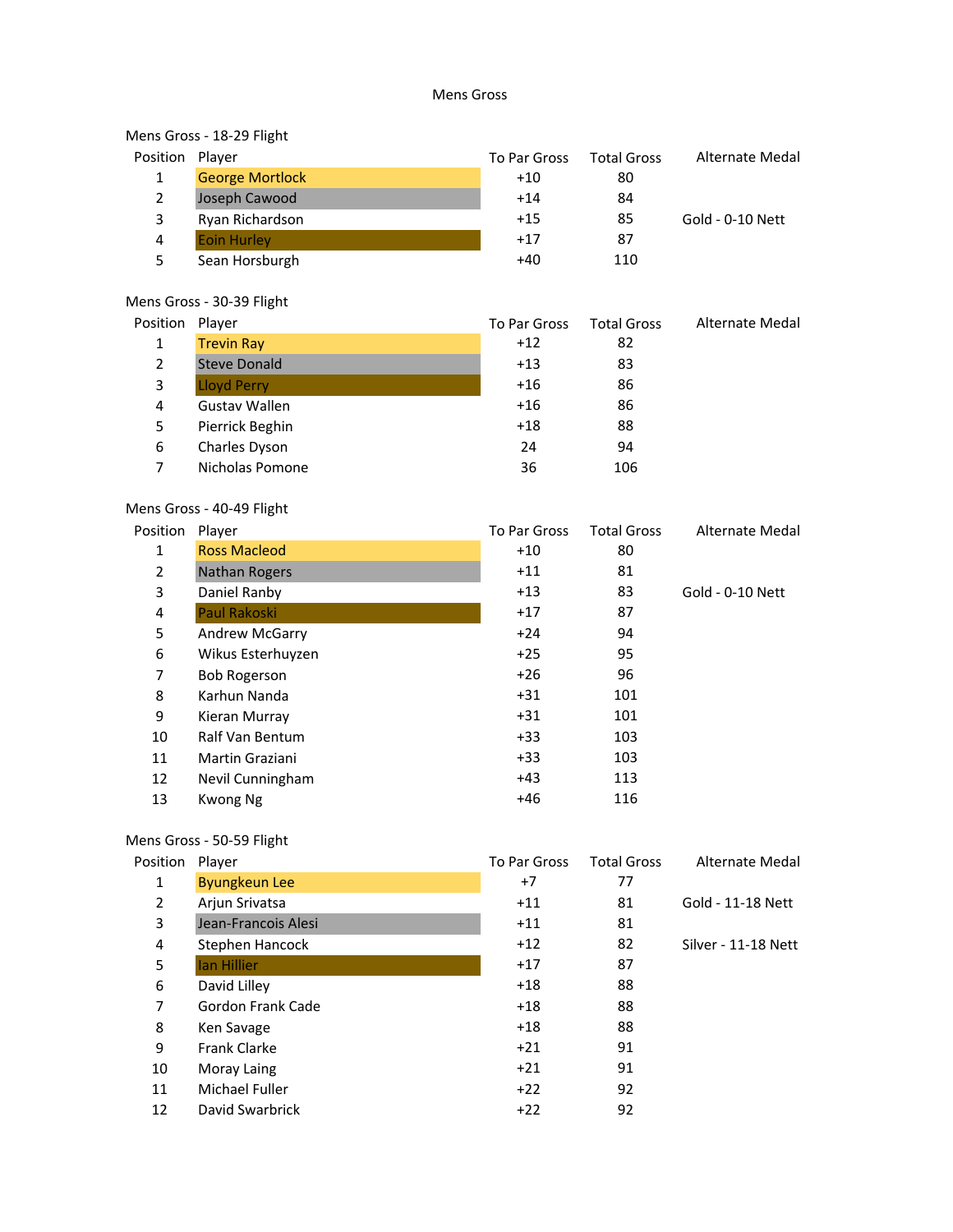#### Mens Gross

# Mens Gross - 18-29 Flight<br>Position Plaver

| Position       | Player                 | To Par Gross | <b>Total Gross</b> | Alternate Medal  |
|----------------|------------------------|--------------|--------------------|------------------|
| 1              | <b>George Mortlock</b> | $+10$        | 80                 |                  |
| $\overline{2}$ | Joseph Cawood          | $+14$        | 84                 |                  |
| 3              | Ryan Richardson        | $+15$        | 85                 | Gold - 0-10 Nett |
| 4              | <b>Eoin Hurley</b>     | $+17$        | 87                 |                  |
| 5              | Sean Horsburgh         | $+40$        | 110                |                  |
|                |                        |              |                    |                  |

#### Mens Gross - 30-39 Flight

| Position       | Player              | To Par Gross | <b>Total Gross</b> | Alternate Medal |
|----------------|---------------------|--------------|--------------------|-----------------|
| 1              | <b>Trevin Ray</b>   | $+12$        | 82                 |                 |
| $\overline{2}$ | <b>Steve Donald</b> | $+13$        | 83                 |                 |
| 3              | <b>Lloyd Perry</b>  | $+16$        | 86                 |                 |
| 4              | Gustav Wallen       | $+16$        | 86                 |                 |
| 5              | Pierrick Beghin     | $+18$        | 88                 |                 |
| 6              | Charles Dyson       | 24           | 94                 |                 |
|                | Nicholas Pomone     | 36           | 106                |                 |
|                |                     |              |                    |                 |

#### Mens Gross - 40-49 Flight

| Position | Player               | To Par Gross | <b>Total Gross</b> | Alternate Medal  |
|----------|----------------------|--------------|--------------------|------------------|
| 1        | <b>Ross Macleod</b>  | $+10$        | 80                 |                  |
| 2        | <b>Nathan Rogers</b> | $+11$        | 81                 |                  |
| 3        | Daniel Ranby         | $+13$        | 83                 | Gold - 0-10 Nett |
| 4        | Paul Rakoski         | $+17$        | 87                 |                  |
| 5        | Andrew McGarry       | $+24$        | 94                 |                  |
| 6        | Wikus Esterhuyzen    | $+25$        | 95                 |                  |
| 7        | <b>Bob Rogerson</b>  | $+26$        | 96                 |                  |
| 8        | Karhun Nanda         | $+31$        | 101                |                  |
| 9        | Kieran Murray        | $+31$        | 101                |                  |
| 10       | Ralf Van Bentum      | $+33$        | 103                |                  |
| 11       | Martin Graziani      | $+33$        | 103                |                  |
| 12       | Nevil Cunningham     | $+43$        | 113                |                  |
| 13       | Kwong Ng             | $+46$        | 116                |                  |
|          |                      |              |                    |                  |

#### Mens Gross - 50-59 Flight

| Player               | To Par Gross | <b>Total Gross</b> | Alternate Medal     |
|----------------------|--------------|--------------------|---------------------|
| <b>Byungkeun Lee</b> | +7           | 77                 |                     |
| Arjun Srivatsa       | $+11$        | 81                 | Gold - 11-18 Nett   |
| Jean-Francois Alesi  | $+11$        | 81                 |                     |
| Stephen Hancock      | $+12$        | 82                 | Silver - 11-18 Nett |
| lan Hillier          | $+17$        | 87                 |                     |
| David Lilley         | $+18$        | 88                 |                     |
| Gordon Frank Cade    | $+18$        | 88                 |                     |
| Ken Savage           | $+18$        | 88                 |                     |
| <b>Frank Clarke</b>  | $+21$        | 91                 |                     |
| Moray Laing          | $+21$        | 91                 |                     |
| Michael Fuller       | $+22$        | 92                 |                     |
| David Swarbrick      | $+22$        | 92                 |                     |
|                      |              |                    |                     |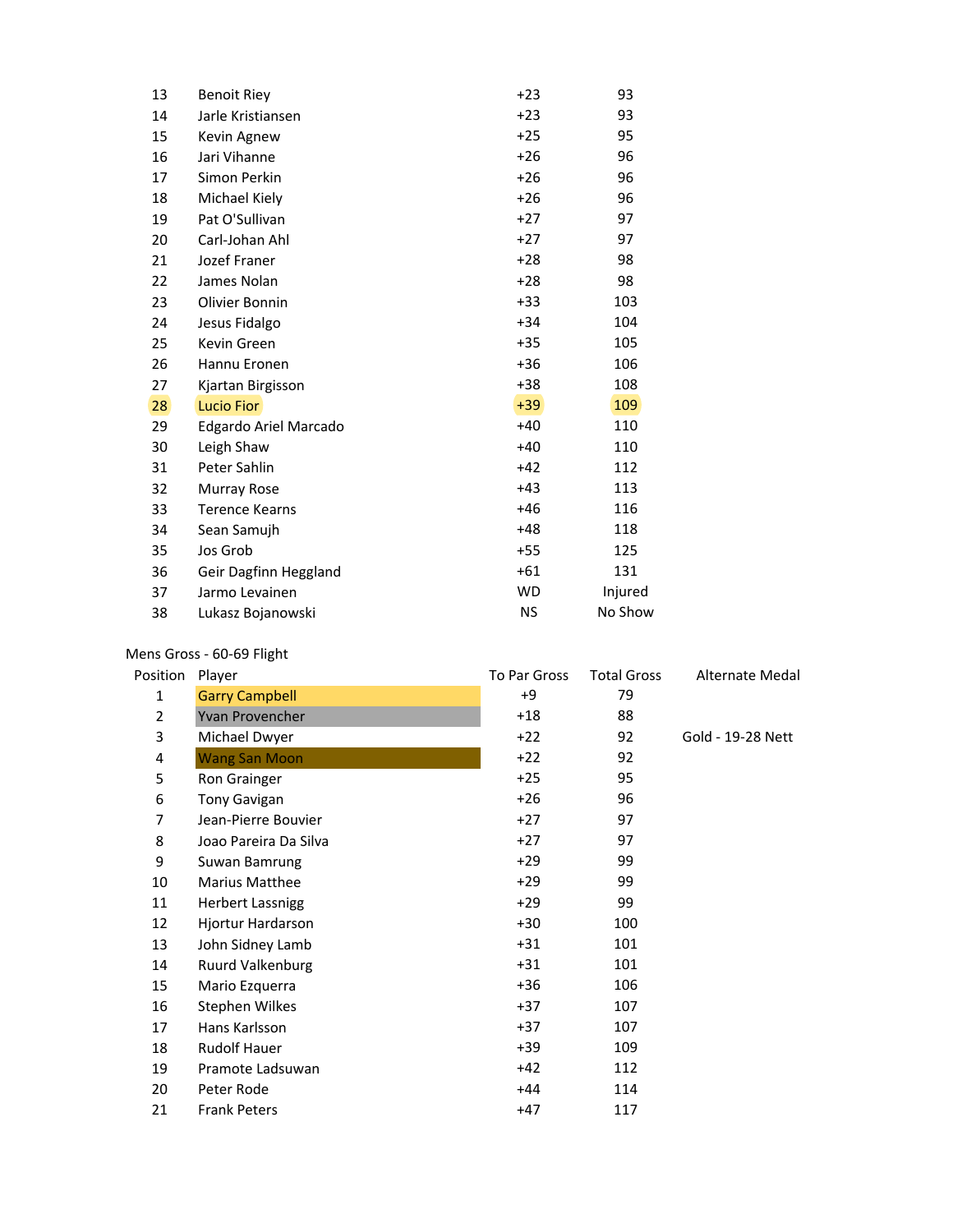| 13 | <b>Benoit Riey</b>    | $+23$     | 93      |
|----|-----------------------|-----------|---------|
| 14 | Jarle Kristiansen     | $+23$     | 93      |
| 15 | Kevin Agnew           | $+25$     | 95      |
| 16 | Jari Vihanne          | $+26$     | 96      |
| 17 | Simon Perkin          | $+26$     | 96      |
| 18 | Michael Kiely         | $+26$     | 96      |
| 19 | Pat O'Sullivan        | $+27$     | 97      |
| 20 | Carl-Johan Ahl        | $+27$     | 97      |
| 21 | Jozef Franer          | $+28$     | 98      |
| 22 | James Nolan           | $+28$     | 98      |
| 23 | Olivier Bonnin        | $+33$     | 103     |
| 24 | Jesus Fidalgo         | $+34$     | 104     |
| 25 | Kevin Green           | $+35$     | 105     |
| 26 | Hannu Eronen          | $+36$     | 106     |
| 27 | Kjartan Birgisson     | $+38$     | 108     |
| 28 | <b>Lucio Fior</b>     | $+39$     | 109     |
| 29 | Edgardo Ariel Marcado | $+40$     | 110     |
| 30 | Leigh Shaw            | $+40$     | 110     |
| 31 | Peter Sahlin          | $+42$     | 112     |
| 32 | Murray Rose           | $+43$     | 113     |
| 33 | <b>Terence Kearns</b> | $+46$     | 116     |
| 34 | Sean Samujh           | $+48$     | 118     |
| 35 | Jos Grob              | $+55$     | 125     |
| 36 | Geir Dagfinn Heggland | $+61$     | 131     |
| 37 | Jarmo Levainen        | <b>WD</b> | Injured |
| 38 | Lukasz Bojanowski     | NS        | No Show |

#### Mens Gross - 60-69 Flight

| Position       | Player                  | To Par Gross | <b>Total Gross</b> | Alternate Medal   |
|----------------|-------------------------|--------------|--------------------|-------------------|
| $\mathbf{1}$   | <b>Garry Campbell</b>   | +9           | 79                 |                   |
| $\overline{2}$ | Yvan Provencher         | $+18$        | 88                 |                   |
| 3              | Michael Dwyer           | $+22$        | 92                 | Gold - 19-28 Nett |
| 4              | <b>Wang San Moon</b>    | $+22$        | 92                 |                   |
| 5              | Ron Grainger            | $+25$        | 95                 |                   |
| 6              | <b>Tony Gavigan</b>     | $+26$        | 96                 |                   |
| 7              | Jean-Pierre Bouvier     | $+27$        | 97                 |                   |
| 8              | Joao Pareira Da Silva   | $+27$        | 97                 |                   |
| 9              | Suwan Bamrung           | $+29$        | 99                 |                   |
| 10             | <b>Marius Matthee</b>   | $+29$        | 99                 |                   |
| 11             | <b>Herbert Lassnigg</b> | $+29$        | 99                 |                   |
| 12             | Hjortur Hardarson       | $+30$        | 100                |                   |
| 13             | John Sidney Lamb        | $+31$        | 101                |                   |
| 14             | Ruurd Valkenburg        | $+31$        | 101                |                   |
| 15             | Mario Ezquerra          | $+36$        | 106                |                   |
| 16             | Stephen Wilkes          | $+37$        | 107                |                   |
| 17             | Hans Karlsson           | $+37$        | 107                |                   |
| 18             | <b>Rudolf Hauer</b>     | $+39$        | 109                |                   |
| 19             | Pramote Ladsuwan        | $+42$        | 112                |                   |
| 20             | Peter Rode              | $+44$        | 114                |                   |
| 21             | <b>Frank Peters</b>     | $+47$        | 117                |                   |
|                |                         |              |                    |                   |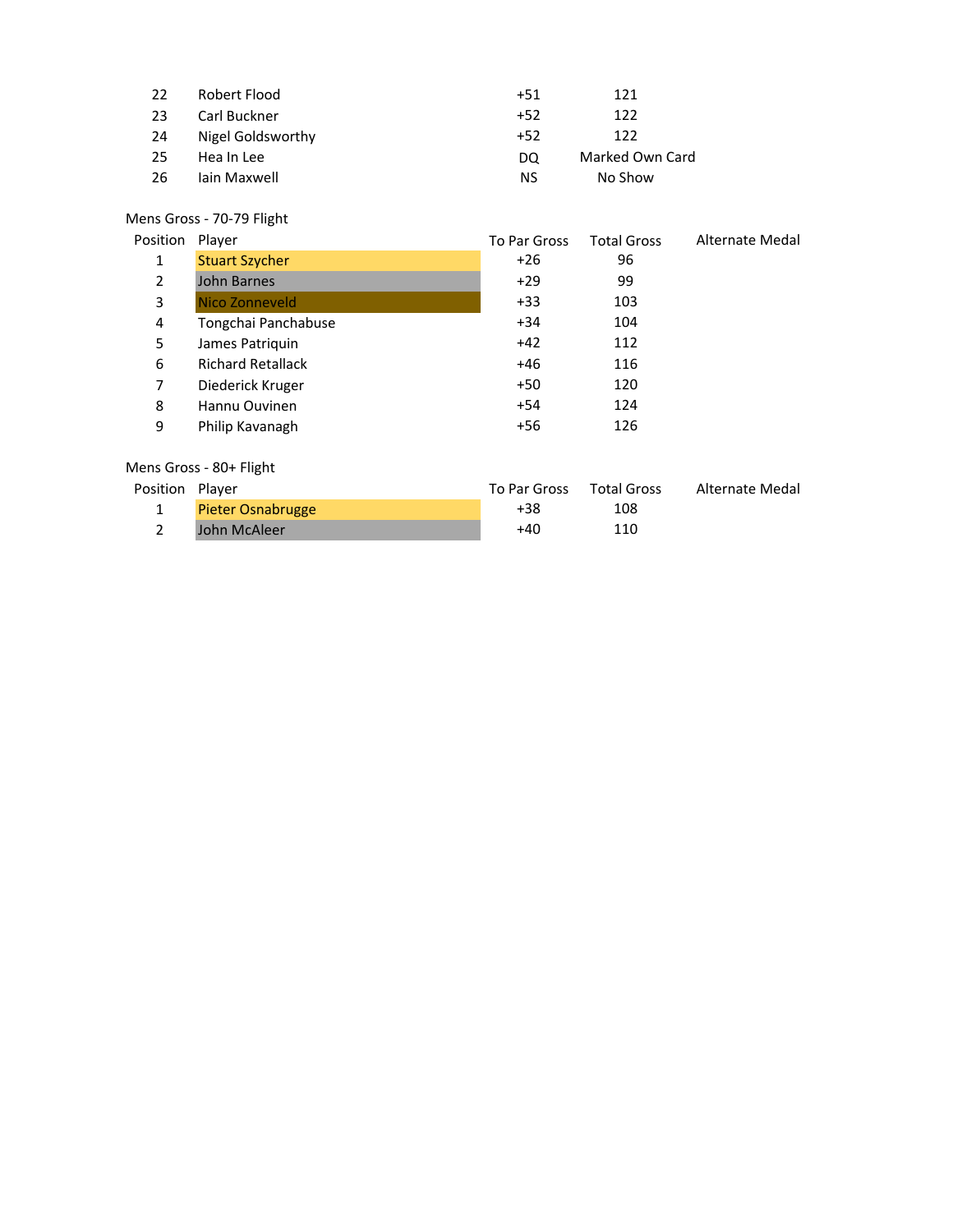| 22  | Robert Flood      | $+51$ | 121             |
|-----|-------------------|-------|-----------------|
| -23 | Carl Buckner      | $+52$ | 122             |
| -24 | Nigel Goldsworthy | $+52$ | 122             |
| 25  | Hea In Lee        | DO    | Marked Own Card |
| -26 | lain Maxwell      | ΝS    | No Show         |

#### Mens Gross - 70-79 Flight

| Position       | Player                   | To Par Gross | <b>Total Gross</b> | Alternate Medal |
|----------------|--------------------------|--------------|--------------------|-----------------|
| 1              | <b>Stuart Szycher</b>    | $+26$        | 96                 |                 |
| $\overline{2}$ | John Barnes              | $+29$        | 99                 |                 |
| 3              | Nico Zonneveld           | $+33$        | 103                |                 |
| 4              | Tongchai Panchabuse      | $+34$        | 104                |                 |
| 5              | James Patriquin          | $+42$        | 112                |                 |
| 6              | <b>Richard Retallack</b> | +46          | 116                |                 |
| 7              | Diederick Kruger         | +50          | 120                |                 |
| 8              | Hannu Ouvinen            | +54          | 124                |                 |
| 9              | Philip Kavanagh          | +56          | 126                |                 |
|                |                          |              |                    |                 |

#### Mens Gross - 80+ Flight

| Position Player |                          | To Par Gross | Total Gross | Alternate Medal |
|-----------------|--------------------------|--------------|-------------|-----------------|
|                 | <b>Pieter Osnabrugge</b> | +38          | 108         |                 |
|                 | John McAleer             | +40          | 110         |                 |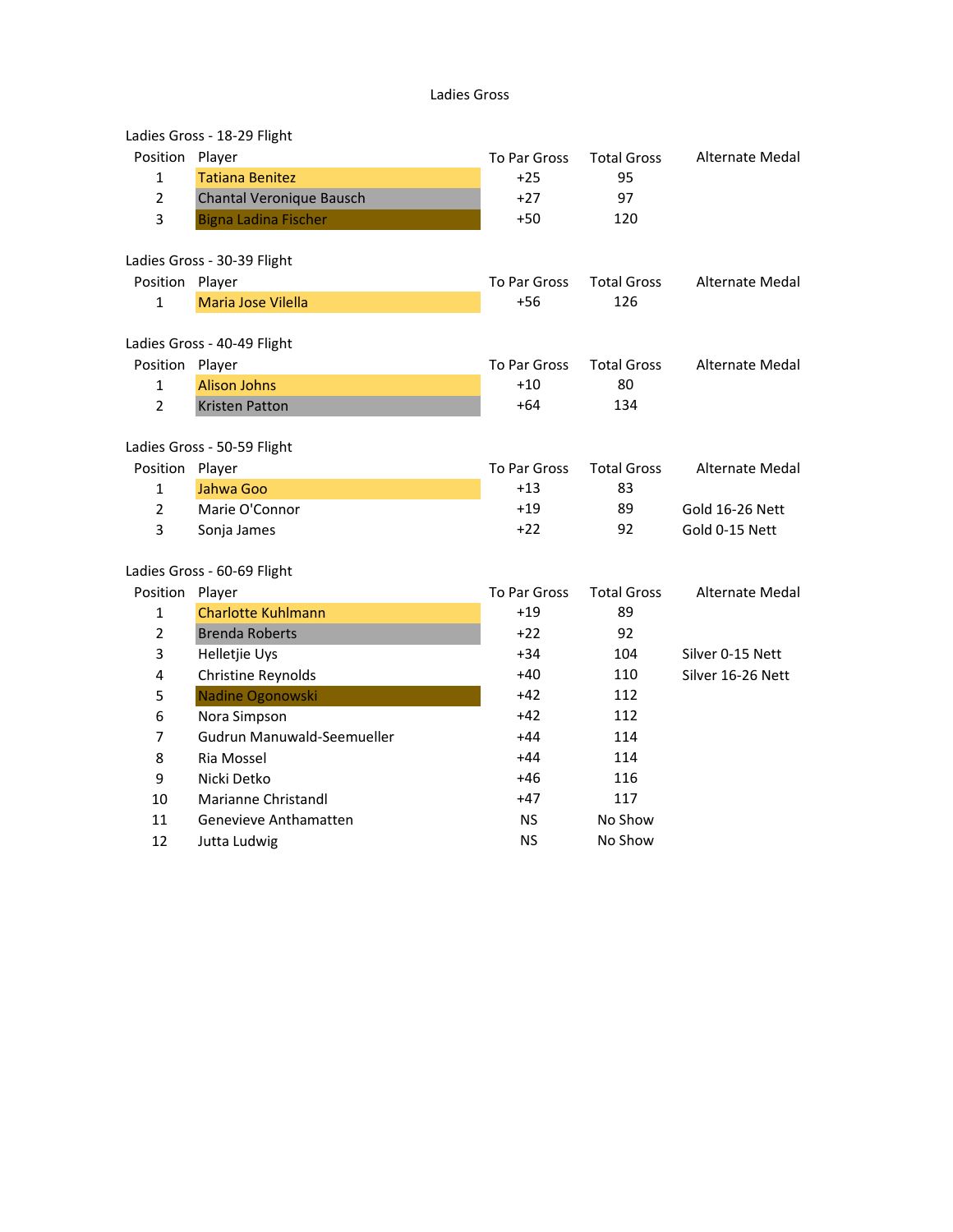#### Ladies Gross

|                | Ladies Gross - 18-29 Flight |              |                    |                   |
|----------------|-----------------------------|--------------|--------------------|-------------------|
| Position       | Player                      | To Par Gross | <b>Total Gross</b> | Alternate Medal   |
| $\mathbf{1}$   | <b>Tatiana Benitez</b>      | $+25$        | 95                 |                   |
| $\overline{2}$ | Chantal Veronique Bausch    | $+27$        | 97                 |                   |
| 3              | <b>Bigna Ladina Fischer</b> | $+50$        | 120                |                   |
|                | Ladies Gross - 30-39 Flight |              |                    |                   |
| Position       | Player                      | To Par Gross | <b>Total Gross</b> | Alternate Medal   |
| $\mathbf{1}$   | Maria Jose Vilella          | $+56$        | 126                |                   |
|                | Ladies Gross - 40-49 Flight |              |                    |                   |
| Position       | Player                      | To Par Gross | <b>Total Gross</b> | Alternate Medal   |
| 1              | <b>Alison Johns</b>         | $+10$        | 80                 |                   |
| $\overline{2}$ | <b>Kristen Patton</b>       | $+64$        | 134                |                   |
|                | Ladies Gross - 50-59 Flight |              |                    |                   |
| Position       | Player                      | To Par Gross | <b>Total Gross</b> | Alternate Medal   |
| 1              | Jahwa Goo                   | $+13$        | 83                 |                   |
| $\overline{2}$ | Marie O'Connor              | $+19$        | 89                 | Gold 16-26 Nett   |
| 3              | Sonja James                 | $+22$        | 92                 | Gold 0-15 Nett    |
|                | Ladies Gross - 60-69 Flight |              |                    |                   |
| Position       | Player                      | To Par Gross | <b>Total Gross</b> | Alternate Medal   |
| $\mathbf{1}$   | <b>Charlotte Kuhlmann</b>   | $+19$        | 89                 |                   |
| $\overline{2}$ | <b>Brenda Roberts</b>       | $+22$        | 92                 |                   |
| 3              | Helletjie Uys               | $+34$        | 104                | Silver 0-15 Nett  |
| 4              | Christine Reynolds          | $+40$        | 110                | Silver 16-26 Nett |
| 5              | Nadine Ogonowski            | $+42$        | 112                |                   |
| 6              | Nora Simpson                | $+42$        | 112                |                   |
| 7              | Gudrun Manuwald-Seemueller  | $+44$        | 114                |                   |
| 8              | Ria Mossel                  | $+44$        | 114                |                   |
| 9              | Nicki Detko                 | $+46$        | 116                |                   |
| 10             | Marianne Christandl         | $+47$        | 117                |                   |
| 11             | Genevieve Anthamatten       | NS           | No Show            |                   |
| 12             | Jutta Ludwig                | <b>NS</b>    | No Show            |                   |
|                |                             |              |                    |                   |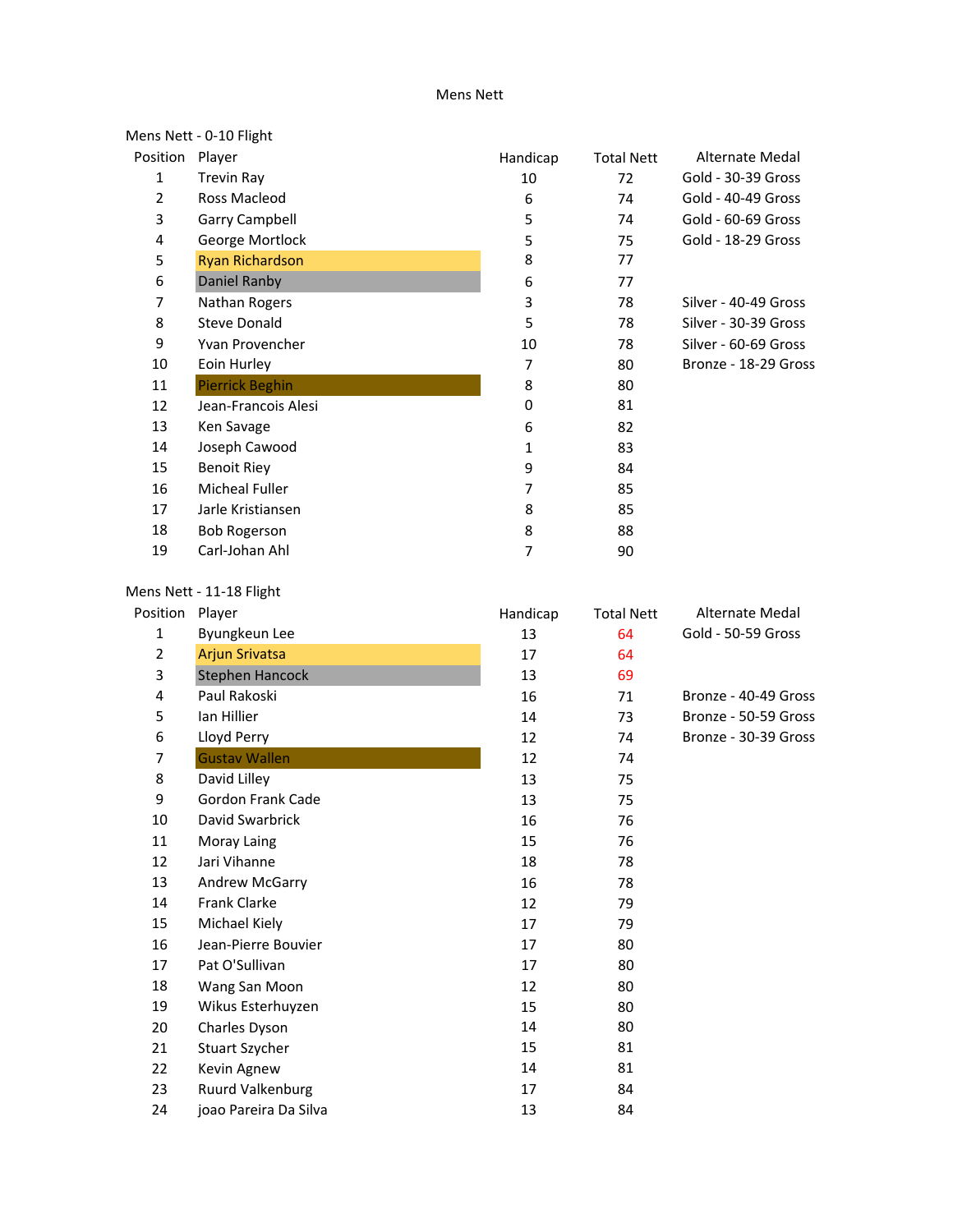#### Mens Nett

|                | Mens Nett - 0-10 Flight |          |                   |                      |
|----------------|-------------------------|----------|-------------------|----------------------|
| Position       | Player                  | Handicap | <b>Total Nett</b> | Alternate Medal      |
| 1              | Trevin Ray              | 10       | 72                | Gold - 30-39 Gross   |
| $\overline{2}$ | Ross Macleod            | 6        | 74                | Gold - 40-49 Gross   |
| 3              | Garry Campbell          | 5        | 74                | Gold - 60-69 Gross   |
| 4              | George Mortlock         | 5        | 75                | Gold - 18-29 Gross   |
| 5              | <b>Ryan Richardson</b>  | 8        | 77                |                      |
| 6              | Daniel Ranby            | 6        | 77                |                      |
| 7              | Nathan Rogers           | 3        | 78                | Silver - 40-49 Gross |
| 8              | <b>Steve Donald</b>     | 5        | 78                | Silver - 30-39 Gross |
| 9              | Yvan Provencher         | 10       | 78                | Silver - 60-69 Gross |
| 10             | Eoin Hurley             | 7        | 80                | Bronze - 18-29 Gross |
| 11             | <b>Pierrick Beghin</b>  | 8        | 80                |                      |
| 12             | Jean-Francois Alesi     | 0        | 81                |                      |
| 13             | Ken Savage              | 6        | 82                |                      |
| 14             | Joseph Cawood           | 1        | 83                |                      |
| 15             | <b>Benoit Riey</b>      | 9        | 84                |                      |
| 16             | <b>Micheal Fuller</b>   | 7        | 85                |                      |
| 17             | Jarle Kristiansen       | 8        | 85                |                      |
| 18             | <b>Bob Rogerson</b>     | 8        | 88                |                      |
| 19             | Carl-Johan Ahl          | 7        | 90                |                      |

### Mens Nett - 11-18 Flight

| Position       | Player                | Handicap | <b>Total Nett</b> | Alternate Medal      |
|----------------|-----------------------|----------|-------------------|----------------------|
| $\mathbf{1}$   | Byungkeun Lee         | 13       | 64                | Gold - 50-59 Gross   |
| 2              | <b>Arjun Srivatsa</b> | 17       | 64                |                      |
| 3              | Stephen Hancock       | 13       | 69                |                      |
| 4              | Paul Rakoski          | 16       | 71                | Bronze - 40-49 Gross |
| 5              | lan Hillier           | 14       | 73                | Bronze - 50-59 Gross |
| 6              | Lloyd Perry           | 12       | 74                | Bronze - 30-39 Gross |
| $\overline{7}$ | <b>Gustav Wallen</b>  | 12       | 74                |                      |
| 8              | David Lilley          | 13       | 75                |                      |
| 9              | Gordon Frank Cade     | 13       | 75                |                      |
| 10             | David Swarbrick       | 16       | 76                |                      |
| 11             | Moray Laing           | 15       | 76                |                      |
| 12             | Jari Vihanne          | 18       | 78                |                      |
| 13             | Andrew McGarry        | 16       | 78                |                      |
| 14             | <b>Frank Clarke</b>   | 12       | 79                |                      |
| 15             | Michael Kiely         | 17       | 79                |                      |
| 16             | Jean-Pierre Bouvier   | 17       | 80                |                      |
| 17             | Pat O'Sullivan        | 17       | 80                |                      |
| 18             | Wang San Moon         | 12       | 80                |                      |
| 19             | Wikus Esterhuyzen     | 15       | 80                |                      |
| 20             | Charles Dyson         | 14       | 80                |                      |
| 21             | <b>Stuart Szycher</b> | 15       | 81                |                      |
| 22             | Kevin Agnew           | 14       | 81                |                      |
| 23             | Ruurd Valkenburg      | 17       | 84                |                      |
| 24             | joao Pareira Da Silva | 13       | 84                |                      |
|                |                       |          |                   |                      |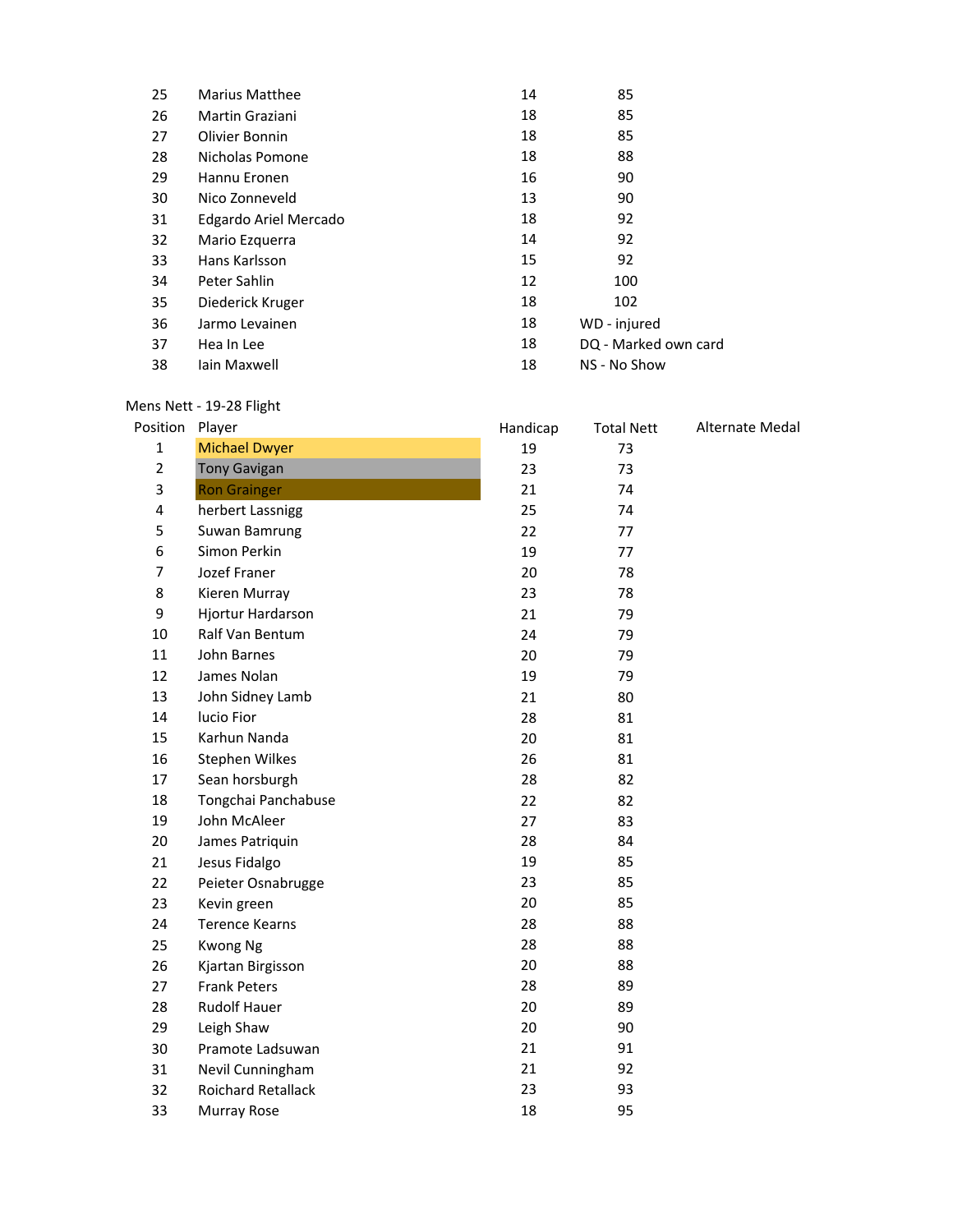| 25 | <b>Marius Matthee</b> | 14 | 85                   |
|----|-----------------------|----|----------------------|
| 26 | Martin Graziani       | 18 | 85                   |
| 27 | Olivier Bonnin        | 18 | 85                   |
| 28 | Nicholas Pomone       | 18 | 88                   |
| 29 | Hannu Eronen          | 16 | 90                   |
| 30 | Nico Zonneveld        | 13 | 90                   |
| 31 | Edgardo Ariel Mercado | 18 | 92                   |
| 32 | Mario Ezquerra        | 14 | 92                   |
| 33 | Hans Karlsson         | 15 | 92                   |
| 34 | Peter Sahlin          | 12 | 100                  |
| 35 | Diederick Kruger      | 18 | 102                  |
| 36 | Jarmo Levainen        | 18 | WD - injured         |
| 37 | Hea In Lee            | 18 | DQ - Marked own card |
| 38 | lain Maxwell          | 18 | NS - No Show         |

#### Mens Nett - 19-28 Flight

|                | Mens Nett - 19-28 Flight |          |                   |                 |
|----------------|--------------------------|----------|-------------------|-----------------|
| Position       | Player                   | Handicap | <b>Total Nett</b> | Alternate Medal |
| $\mathbf{1}$   | <b>Michael Dwyer</b>     | 19       | 73                |                 |
| $\overline{2}$ | <b>Tony Gavigan</b>      | 23       | 73                |                 |
| 3              | <b>Ron Grainger</b>      | 21       | 74                |                 |
| 4              | herbert Lassnigg         | 25       | 74                |                 |
| 5              | Suwan Bamrung            | 22       | 77                |                 |
| 6              | Simon Perkin             | 19       | 77                |                 |
| $\overline{7}$ | Jozef Franer             | 20       | 78                |                 |
| 8              | Kieren Murray            | 23       | 78                |                 |
| 9              | Hjortur Hardarson        | 21       | 79                |                 |
| 10             | Ralf Van Bentum          | 24       | 79                |                 |
| 11             | John Barnes              | 20       | 79                |                 |
| 12             | James Nolan              | 19       | 79                |                 |
| 13             | John Sidney Lamb         | 21       | 80                |                 |
| 14             | lucio Fior               | 28       | 81                |                 |
| 15             | Karhun Nanda             | 20       | 81                |                 |
| 16             | Stephen Wilkes           | 26       | 81                |                 |
| 17             | Sean horsburgh           | 28       | 82                |                 |
| 18             | Tongchai Panchabuse      | 22       | 82                |                 |
| 19             | John McAleer             | 27       | 83                |                 |
| 20             | James Patriquin          | 28       | 84                |                 |
| 21             | Jesus Fidalgo            | 19       | 85                |                 |
| 22             | Peieter Osnabrugge       | 23       | 85                |                 |
| 23             | Kevin green              | 20       | 85                |                 |
| 24             | <b>Terence Kearns</b>    | 28       | 88                |                 |
| 25             | <b>Kwong Ng</b>          | 28       | 88                |                 |
| 26             | Kjartan Birgisson        | 20       | 88                |                 |
| 27             | <b>Frank Peters</b>      | 28       | 89                |                 |
| 28             | <b>Rudolf Hauer</b>      | 20       | 89                |                 |
| 29             | Leigh Shaw               | 20       | 90                |                 |
| 30             | Pramote Ladsuwan         | 21       | 91                |                 |
| 31             | Nevil Cunningham         | 21       | 92                |                 |
| 32             | Roichard Retallack       | 23       | 93                |                 |
| 33             | Murray Rose              | 18       | 95                |                 |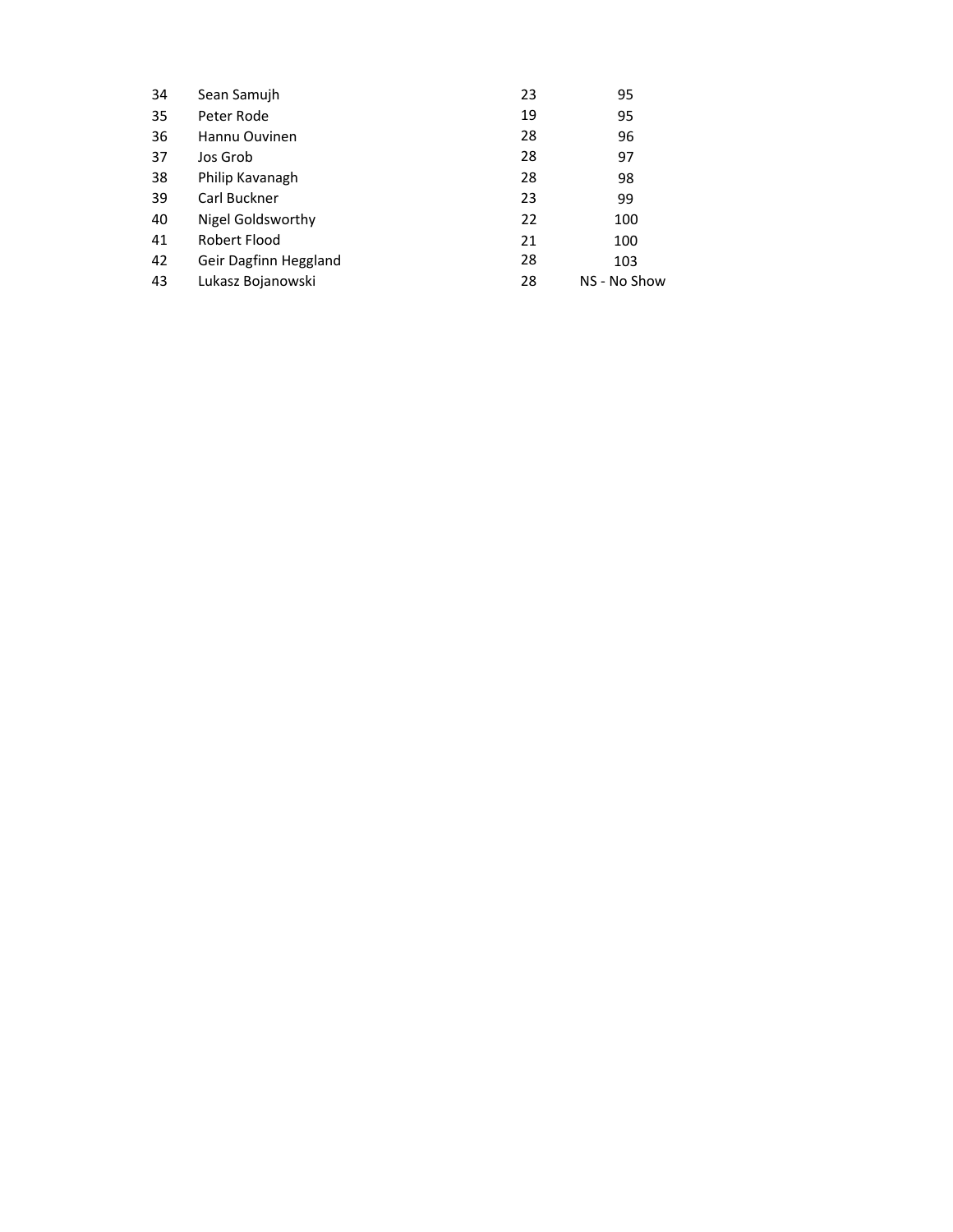| 100                         |
|-----------------------------|
| 100                         |
|                             |
| NS - No Show                |
| 96<br>97<br>98<br>99<br>103 |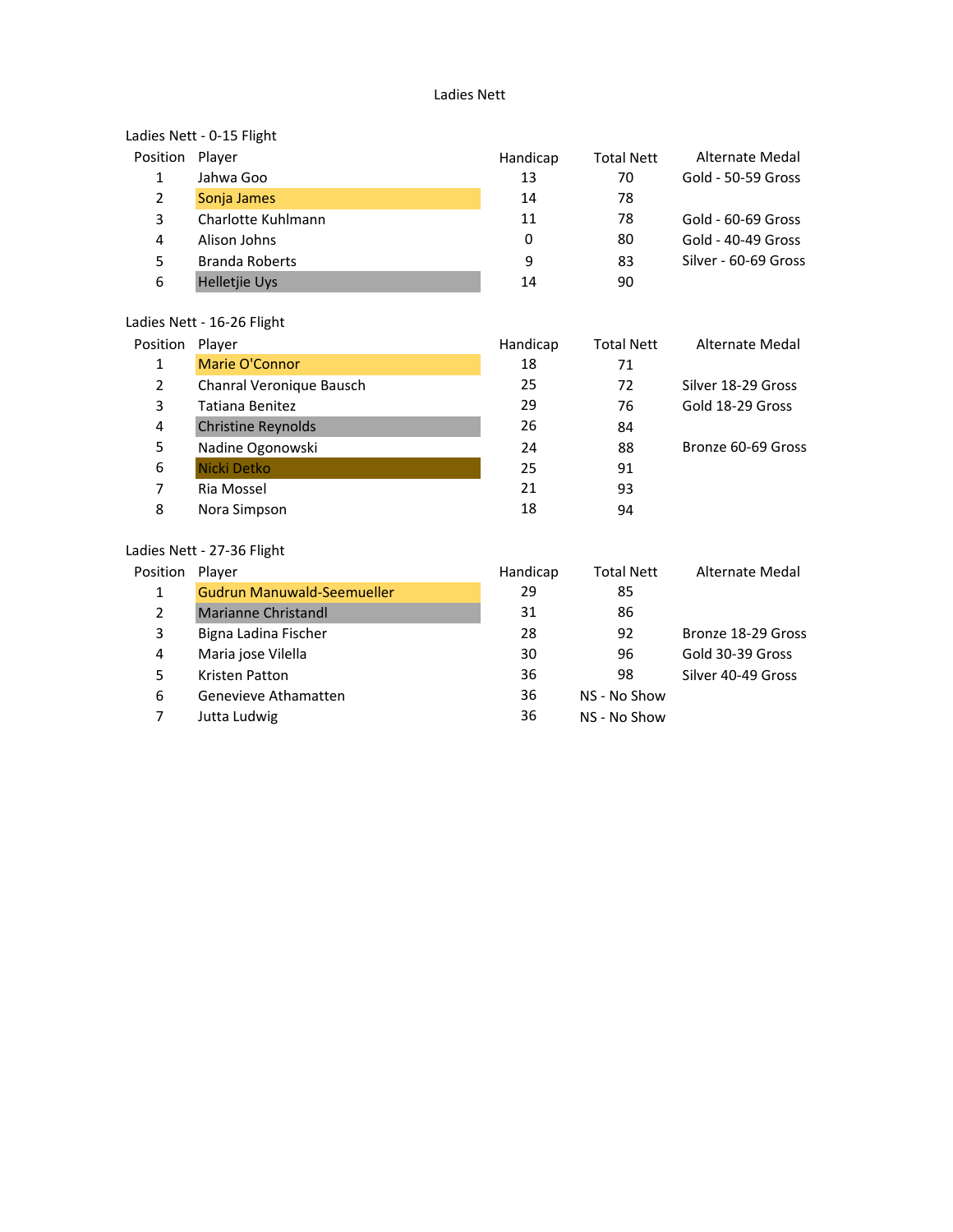#### Ladies Nett

# Ladies Nett - 0-15 Flight

| Position Player |                       | Handicap | <b>Total Nett</b> | Alternate Medal      |
|-----------------|-----------------------|----------|-------------------|----------------------|
| 1               | Jahwa Goo             | 13       | 70                | Gold - 50-59 Gross   |
| $\overline{2}$  | Sonja James           | 14       | 78                |                      |
| 3               | Charlotte Kuhlmann    | 11       | 78                | Gold - 60-69 Gross   |
| 4               | Alison Johns          | 0        | 80                | Gold - 40-49 Gross   |
| 5               | <b>Branda Roberts</b> | 9        | 83                | Silver - 60-69 Gross |
| 6               | <b>Helletjie Uys</b>  | 14       | 90                |                      |
|                 |                       |          |                   |                      |

#### Ladies Nett - 16-26 Flight

| Position | Player                    | Handicap | <b>Total Nett</b> | Alternate Medal    |
|----------|---------------------------|----------|-------------------|--------------------|
| 1        | Marie O'Connor            | 18       | 71                |                    |
| 2        | Chanral Veronique Bausch  | 25       | 72                | Silver 18-29 Gross |
| 3        | Tatiana Benitez           | 29       | 76                | Gold 18-29 Gross   |
| 4        | <b>Christine Reynolds</b> | 26       | 84                |                    |
| 5        | Nadine Ogonowski          | 24       | 88                | Bronze 60-69 Gross |
| 6        | Nicki Detko               | 25       | 91                |                    |
| 7        | Ria Mossel                | 21       | 93                |                    |
| 8        | Nora Simpson              | 18       | 94                |                    |
|          |                           |          |                   |                    |

#### Ladies Nett - 27-36 Flight

| Position | Plaver                            | Handicap | <b>Total Nett</b> | Alternate Medal    |
|----------|-----------------------------------|----------|-------------------|--------------------|
| 1        | <b>Gudrun Manuwald-Seemueller</b> | 29       | 85                |                    |
| 2        | <b>Marianne Christandl</b>        | 31       | 86                |                    |
| 3        | Bigna Ladina Fischer              | 28       | 92                | Bronze 18-29 Gross |
| 4        | Maria jose Vilella                | 30       | 96                | Gold 30-39 Gross   |
| 5        | Kristen Patton                    | 36       | 98                | Silver 40-49 Gross |
| 6        | Genevieve Athamatten              | 36       | NS - No Show      |                    |
| 7        | Jutta Ludwig                      | 36       | NS - No Show      |                    |
|          |                                   |          |                   |                    |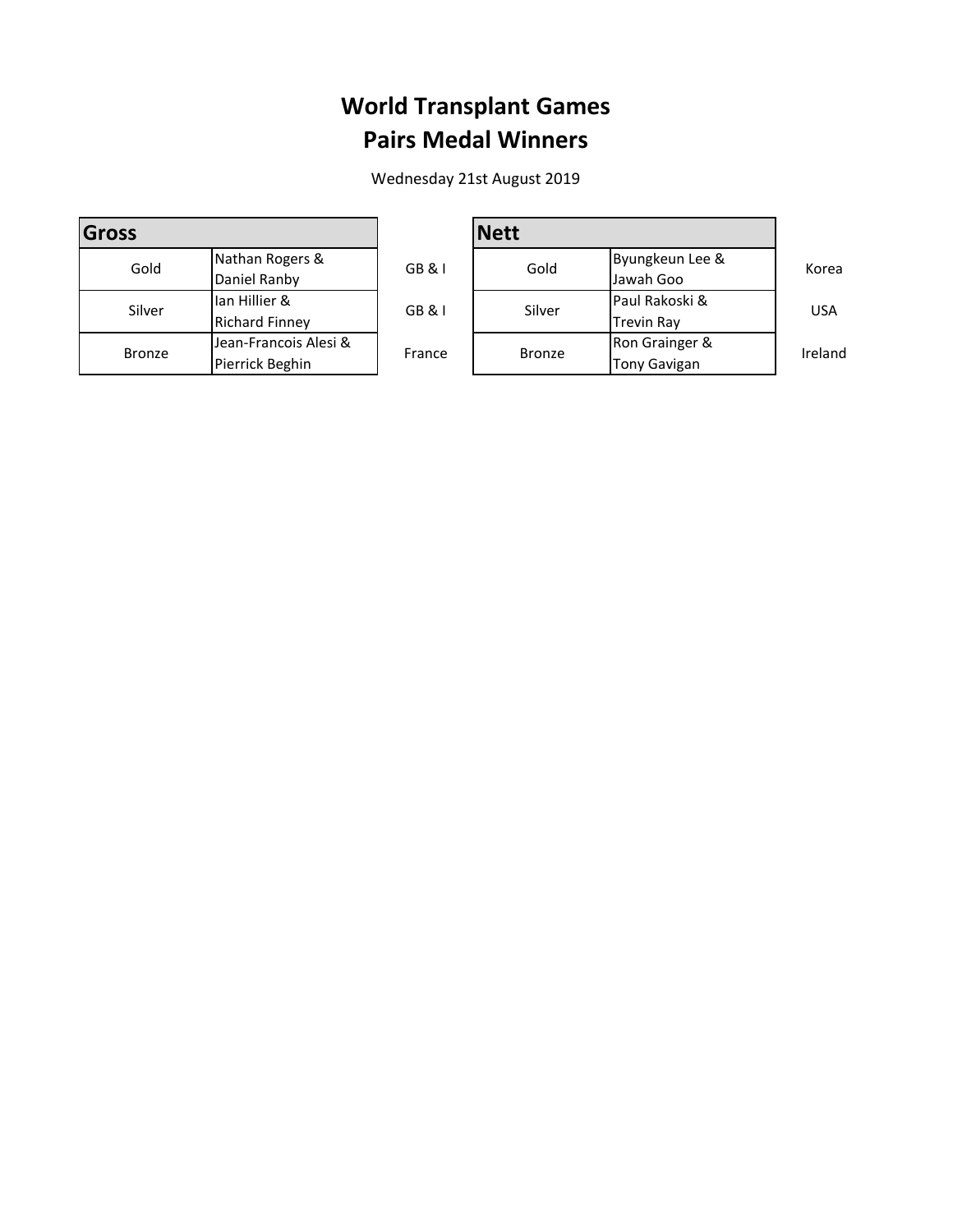## **World Transplant Games Pairs Medal Winners**

Wednesday 21st August 2019

| Gross         |                       |        |  |
|---------------|-----------------------|--------|--|
| Gold          | Nathan Rogers &       | GB&I   |  |
|               | Daniel Ranby          |        |  |
| Silver        | Ian Hillier &         | GB&I   |  |
|               | <b>Richard Finney</b> |        |  |
| <b>Bronze</b> | Jean-Francois Alesi & | France |  |
|               | Pierrick Beghin       |        |  |

|                       |        | <b>Nett</b>   |                     |            |  |
|-----------------------|--------|---------------|---------------------|------------|--|
| Nathan Rogers &       | GB&I   | Gold          | Byungkeun Lee &     | Korea      |  |
| Daniel Ranby          |        |               | Jawah Goo           |            |  |
| Ian Hillier &         | GB & I | Silver        | Paul Rakoski &      | <b>USA</b> |  |
| Richard Finney        |        |               | <b>Trevin Ray</b>   |            |  |
| Jean-Francois Alesi & | France | <b>Bronze</b> | Ron Grainger &      | Ireland    |  |
| Pierrick Beghin       |        |               | <b>Tony Gavigan</b> |            |  |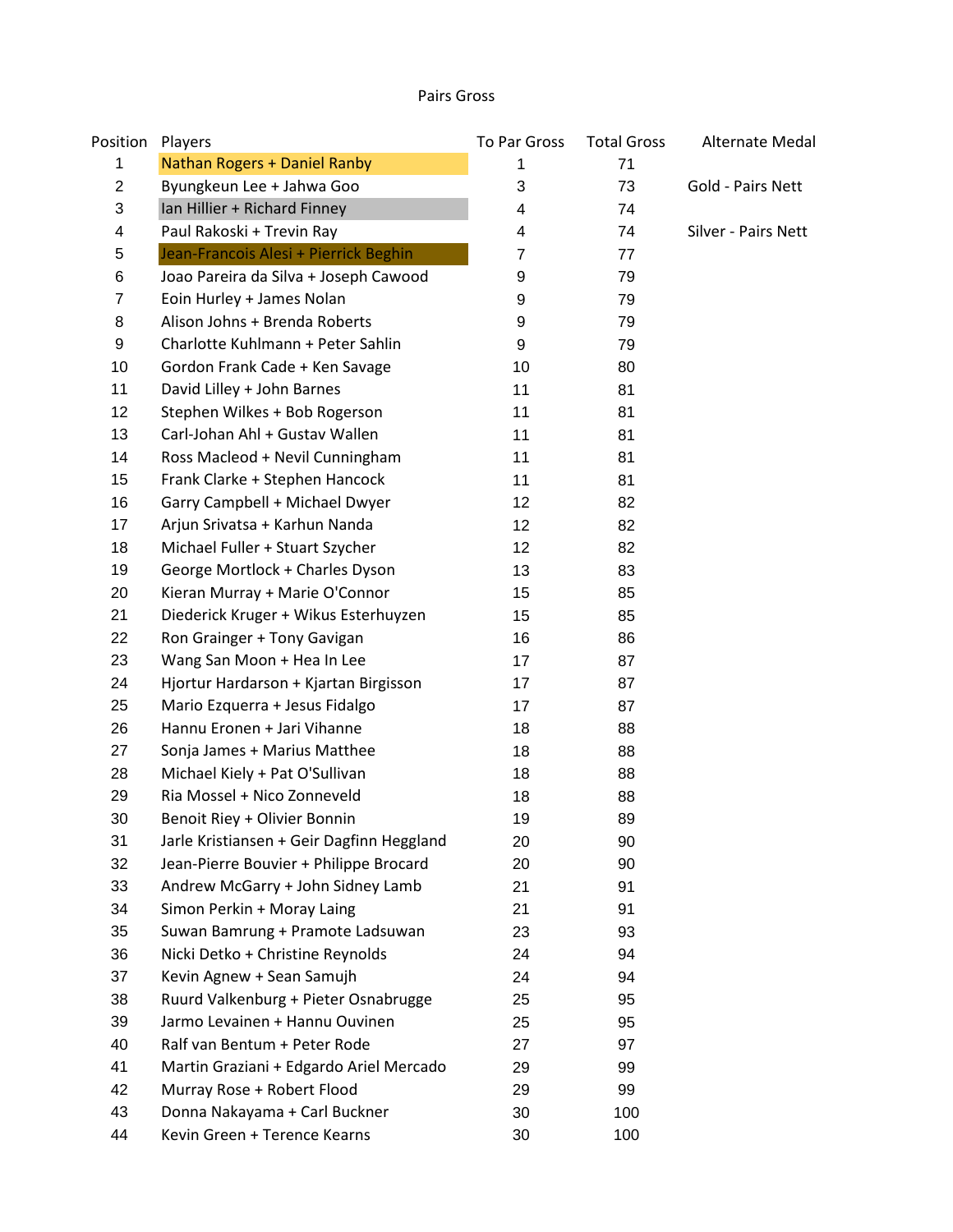#### Pairs Gross

| Position       | Players                                   | To Par Gross | <b>Total Gross</b> | Alternate Medal     |
|----------------|-------------------------------------------|--------------|--------------------|---------------------|
| 1              | Nathan Rogers + Daniel Ranby              | 1            | 71                 |                     |
| $\overline{2}$ | Byungkeun Lee + Jahwa Goo                 | 3            | 73                 | Gold - Pairs Nett   |
| 3              | Ian Hillier + Richard Finney              | 4            | 74                 |                     |
| 4              | Paul Rakoski + Trevin Ray                 | 4            | 74                 | Silver - Pairs Nett |
| 5              | Jean-Francois Alesi + Pierrick Beghin     | 7            | 77                 |                     |
| 6              | Joao Pareira da Silva + Joseph Cawood     | 9            | 79                 |                     |
| 7              | Eoin Hurley + James Nolan                 | 9            | 79                 |                     |
| 8              | Alison Johns + Brenda Roberts             | 9            | 79                 |                     |
| 9              | Charlotte Kuhlmann + Peter Sahlin         | 9            | 79                 |                     |
| 10             | Gordon Frank Cade + Ken Savage            | 10           | 80                 |                     |
| 11             | David Lilley + John Barnes                | 11           | 81                 |                     |
| 12             | Stephen Wilkes + Bob Rogerson             | 11           | 81                 |                     |
| 13             | Carl-Johan Ahl + Gustav Wallen            | 11           | 81                 |                     |
| 14             | Ross Macleod + Nevil Cunningham           | 11           | 81                 |                     |
| 15             | Frank Clarke + Stephen Hancock            | 11           | 81                 |                     |
| 16             | Garry Campbell + Michael Dwyer            | 12           | 82                 |                     |
| 17             | Arjun Srivatsa + Karhun Nanda             | 12           | 82                 |                     |
| 18             | Michael Fuller + Stuart Szycher           | 12           | 82                 |                     |
| 19             | George Mortlock + Charles Dyson           | 13           | 83                 |                     |
| 20             | Kieran Murray + Marie O'Connor            | 15           | 85                 |                     |
| 21             | Diederick Kruger + Wikus Esterhuyzen      | 15           | 85                 |                     |
| 22             | Ron Grainger + Tony Gavigan               | 16           | 86                 |                     |
| 23             | Wang San Moon + Hea In Lee                | 17           | 87                 |                     |
| 24             | Hjortur Hardarson + Kjartan Birgisson     | 17           | 87                 |                     |
| 25             | Mario Ezquerra + Jesus Fidalgo            | 17           | 87                 |                     |
| 26             | Hannu Eronen + Jari Vihanne               | 18           | 88                 |                     |
| 27             | Sonja James + Marius Matthee              | 18           | 88                 |                     |
| 28             | Michael Kiely + Pat O'Sullivan            | 18           | 88                 |                     |
| 29             | Ria Mossel + Nico Zonneveld               | 18           | 88                 |                     |
| 30             | Benoit Riey + Olivier Bonnin              | 19           | 89                 |                     |
| 31             | Jarle Kristiansen + Geir Dagfinn Heggland | 20           | 90                 |                     |
| 32             | Jean-Pierre Bouvier + Philippe Brocard    | 20           | 90                 |                     |
| 33             | Andrew McGarry + John Sidney Lamb         | 21           | 91                 |                     |
| 34             | Simon Perkin + Moray Laing                | 21           | 91                 |                     |
| 35             | Suwan Bamrung + Pramote Ladsuwan          | 23           | 93                 |                     |
| 36             | Nicki Detko + Christine Reynolds          | 24           | 94                 |                     |
| 37             | Kevin Agnew + Sean Samujh                 | 24           | 94                 |                     |
| 38             | Ruurd Valkenburg + Pieter Osnabrugge      | 25           | 95                 |                     |
| 39             | Jarmo Levainen + Hannu Ouvinen            | 25           | 95                 |                     |
| 40             | Ralf van Bentum + Peter Rode              | 27           | 97                 |                     |
| 41             | Martin Graziani + Edgardo Ariel Mercado   | 29           | 99                 |                     |
| 42             | Murray Rose + Robert Flood                | 29           | 99                 |                     |
| 43             | Donna Nakayama + Carl Buckner             | 30           | 100                |                     |
| 44             | Kevin Green + Terence Kearns              | 30           | 100                |                     |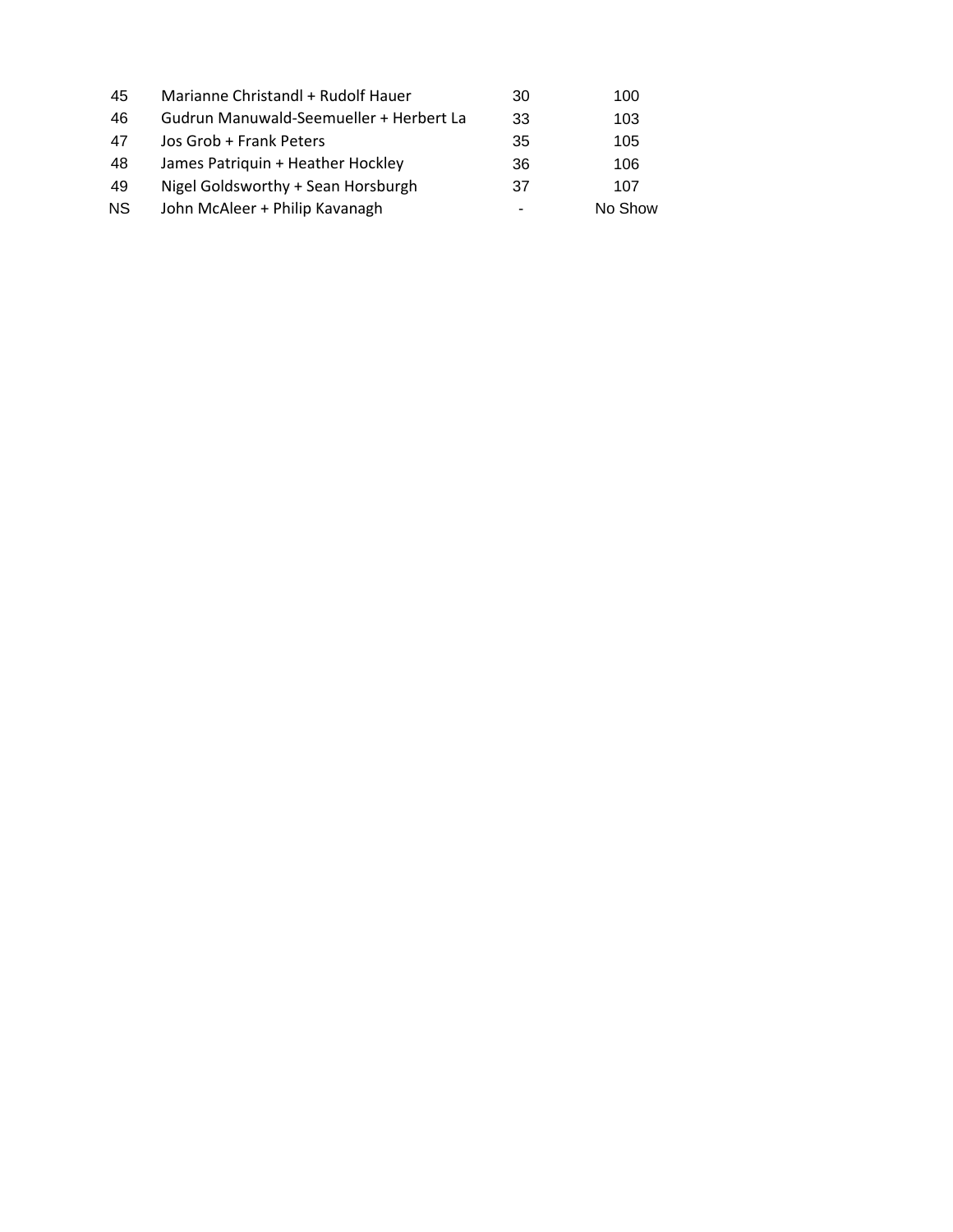| 45 | Marianne Christandl + Rudolf Hauer      | 30 | 100     |
|----|-----------------------------------------|----|---------|
| 46 | Gudrun Manuwald-Seemueller + Herbert La | 33 | 103     |
| 47 | Jos Grob + Frank Peters                 | 35 | 105     |
| 48 | James Patriquin + Heather Hockley       | 36 | 106     |
| 49 | Nigel Goldsworthy + Sean Horsburgh      | 37 | 107     |
| ΝS | John McAleer + Philip Kavanagh          | ۰  | No Show |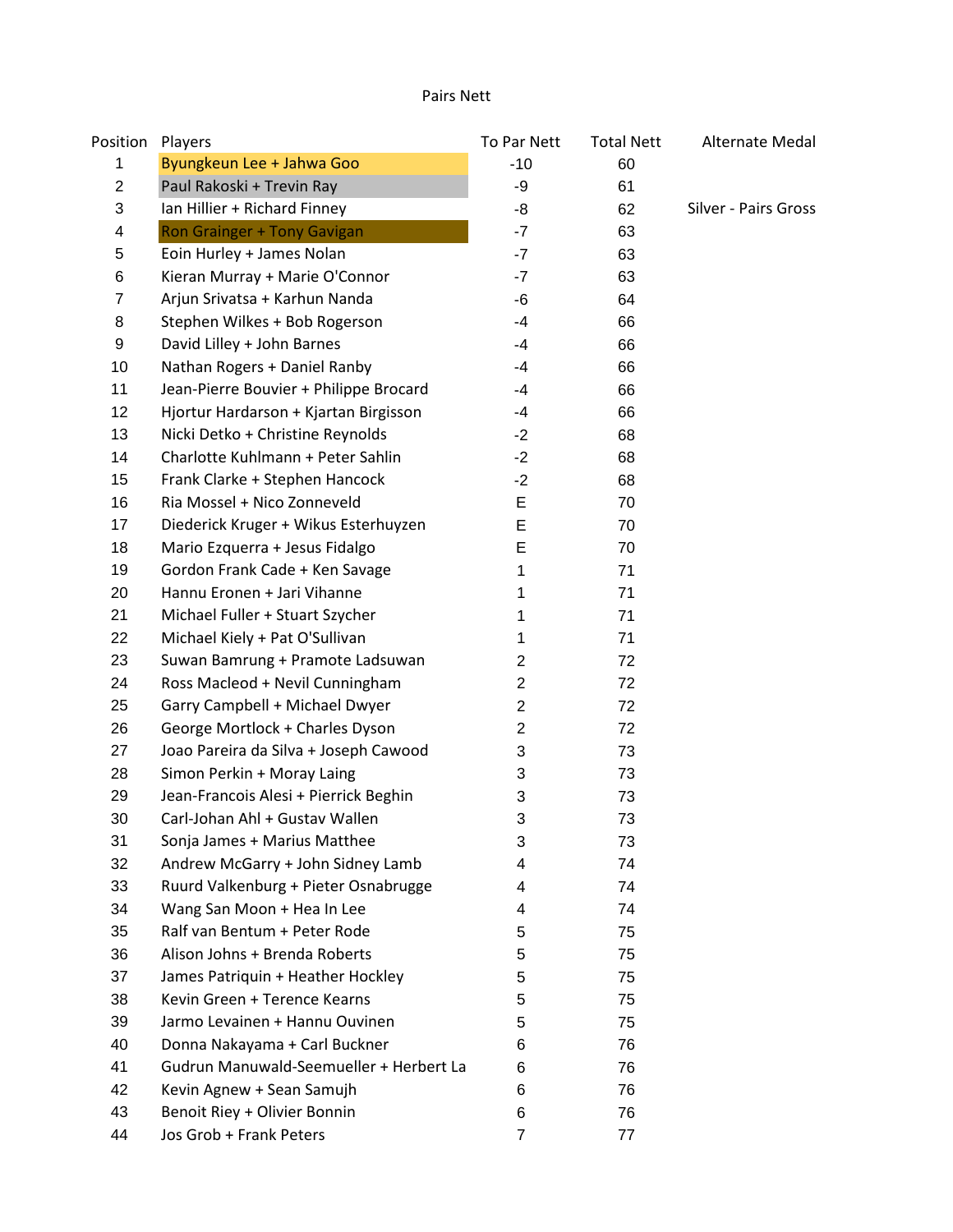#### Pairs Nett

| Position       | Players                                 | To Par Nett    | <b>Total Nett</b> | Alternate Medal      |
|----------------|-----------------------------------------|----------------|-------------------|----------------------|
| 1              | Byungkeun Lee + Jahwa Goo               | $-10$          | 60                |                      |
| $\overline{2}$ | Paul Rakoski + Trevin Ray               | -9             | 61                |                      |
| 3              | Ian Hillier + Richard Finney            | -8             | 62                | Silver - Pairs Gross |
| 4              | Ron Grainger + Tony Gavigan             | $-7$           | 63                |                      |
| 5              | Eoin Hurley + James Nolan               | $-7$           | 63                |                      |
| 6              | Kieran Murray + Marie O'Connor          | $-7$           | 63                |                      |
| 7              | Arjun Srivatsa + Karhun Nanda           | -6             | 64                |                      |
| 8              | Stephen Wilkes + Bob Rogerson           | $-4$           | 66                |                      |
| 9              | David Lilley + John Barnes              | -4             | 66                |                      |
| 10             | Nathan Rogers + Daniel Ranby            | -4             | 66                |                      |
| 11             | Jean-Pierre Bouvier + Philippe Brocard  | $-4$           | 66                |                      |
| 12             | Hjortur Hardarson + Kjartan Birgisson   | -4             | 66                |                      |
| 13             | Nicki Detko + Christine Reynolds        | $-2$           | 68                |                      |
| 14             | Charlotte Kuhlmann + Peter Sahlin       | $-2$           | 68                |                      |
| 15             | Frank Clarke + Stephen Hancock          | $-2$           | 68                |                      |
| 16             | Ria Mossel + Nico Zonneveld             | E              | 70                |                      |
| 17             | Diederick Kruger + Wikus Esterhuyzen    | E              | 70                |                      |
| 18             | Mario Ezquerra + Jesus Fidalgo          | E              | 70                |                      |
| 19             | Gordon Frank Cade + Ken Savage          | 1              | 71                |                      |
| 20             | Hannu Eronen + Jari Vihanne             | 1              | 71                |                      |
| 21             | Michael Fuller + Stuart Szycher         | 1              | 71                |                      |
| 22             | Michael Kiely + Pat O'Sullivan          | 1              | 71                |                      |
| 23             | Suwan Bamrung + Pramote Ladsuwan        | 2              | 72                |                      |
| 24             | Ross Macleod + Nevil Cunningham         | $\overline{c}$ | 72                |                      |
| 25             | Garry Campbell + Michael Dwyer          | $\overline{c}$ | 72                |                      |
| 26             | George Mortlock + Charles Dyson         | $\overline{c}$ | 72                |                      |
| 27             | Joao Pareira da Silva + Joseph Cawood   | 3              | 73                |                      |
| 28             | Simon Perkin + Moray Laing              | 3              | 73                |                      |
| 29             | Jean-Francois Alesi + Pierrick Beghin   | 3              | 73                |                      |
| 30             | Carl-Johan Ahl + Gustav Wallen          | 3              | 73                |                      |
| 31             | Sonja James + Marius Matthee            | 3              | 73                |                      |
| 32             | Andrew McGarry + John Sidney Lamb       | 4              | 74                |                      |
| 33             | Ruurd Valkenburg + Pieter Osnabrugge    | 4              | 74                |                      |
| 34             | Wang San Moon + Hea In Lee              | 4              | 74                |                      |
| 35             | Ralf van Bentum + Peter Rode            | 5              | 75                |                      |
| 36             | Alison Johns + Brenda Roberts           | 5              | 75                |                      |
| 37             | James Patriquin + Heather Hockley       | 5              | 75                |                      |
| 38             | Kevin Green + Terence Kearns            | 5              | 75                |                      |
| 39             | Jarmo Levainen + Hannu Ouvinen          | 5              | 75                |                      |
| 40             | Donna Nakayama + Carl Buckner           | 6              | 76                |                      |
| 41             | Gudrun Manuwald-Seemueller + Herbert La | 6              | 76                |                      |
| 42             | Kevin Agnew + Sean Samujh               | 6              | 76                |                      |
| 43             | Benoit Riey + Olivier Bonnin            | 6              | 76                |                      |
| 44             | Jos Grob + Frank Peters                 | $\overline{7}$ | 77                |                      |